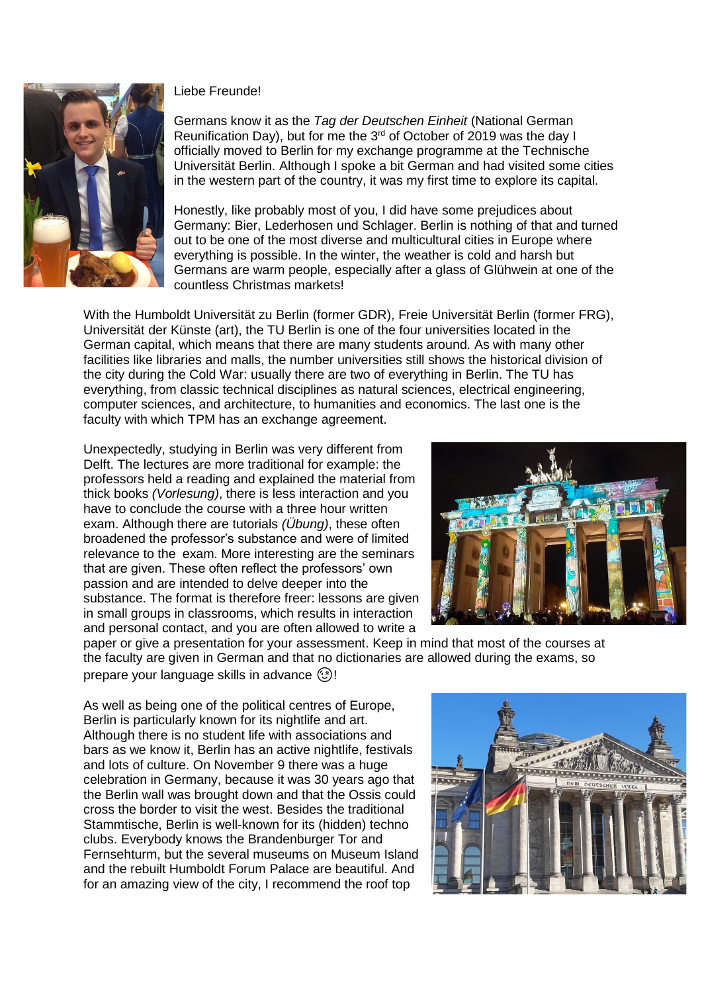

## Liebe Freunde!

Germans know it as the *Tag der Deutschen Einheit* (National German Reunification Day), but for me the  $3<sup>rd</sup>$  of October of 2019 was the day I officially moved to Berlin for my exchange programme at the Technische Universität Berlin. Although I spoke a bit German and had visited some cities in the western part of the country, it was my first time to explore its capital.

Honestly, like probably most of you, I did have some prejudices about Germany: Bier, Lederhosen und Schlager. Berlin is nothing of that and turned out to be one of the most diverse and multicultural cities in Europe where everything is possible. In the winter, the weather is cold and harsh but Germans are warm people, especially after a glass of Glühwein at one of the countless Christmas markets!

With the Humboldt Universität zu Berlin (former GDR), Freie Universität Berlin (former FRG), Universität der Künste (art), the TU Berlin is one of the four universities located in the German capital, which means that there are many students around. As with many other facilities like libraries and malls, the number universities still shows the historical division of the city during the Cold War: usually there are two of everything in Berlin. The TU has everything, from classic technical disciplines as natural sciences, electrical engineering, computer sciences, and architecture, to humanities and economics. The last one is the faculty with which TPM has an exchange agreement.

Unexpectedly, studying in Berlin was very different from Delft. The lectures are more traditional for example: the professors held a reading and explained the material from thick books *(Vorlesung)*, there is less interaction and you have to conclude the course with a three hour written exam. Although there are tutorials *(Übung)*, these often broadened the professor's substance and were of limited relevance to the exam. More interesting are the seminars that are given. These often reflect the professors' own passion and are intended to delve deeper into the substance. The format is therefore freer: lessons are given in small groups in classrooms, which results in interaction and personal contact, and you are often allowed to write a



paper or give a presentation for your assessment. Keep in mind that most of the courses at the faculty are given in German and that no dictionaries are allowed during the exams, so prepare your language skills in advance  $\circled$ !

As well as being one of the political centres of Europe, Berlin is particularly known for its nightlife and art. Although there is no student life with associations and bars as we know it, Berlin has an active nightlife, festivals and lots of culture. On November 9 there was a huge celebration in Germany, because it was 30 years ago that the Berlin wall was brought down and that the Ossis could cross the border to visit the west. Besides the traditional Stammtische, Berlin is well-known for its (hidden) techno clubs. Everybody knows the Brandenburger Tor and Fernsehturm, but the several museums on Museum Island and the rebuilt Humboldt Forum Palace are beautiful. And for an amazing view of the city, I recommend the roof top